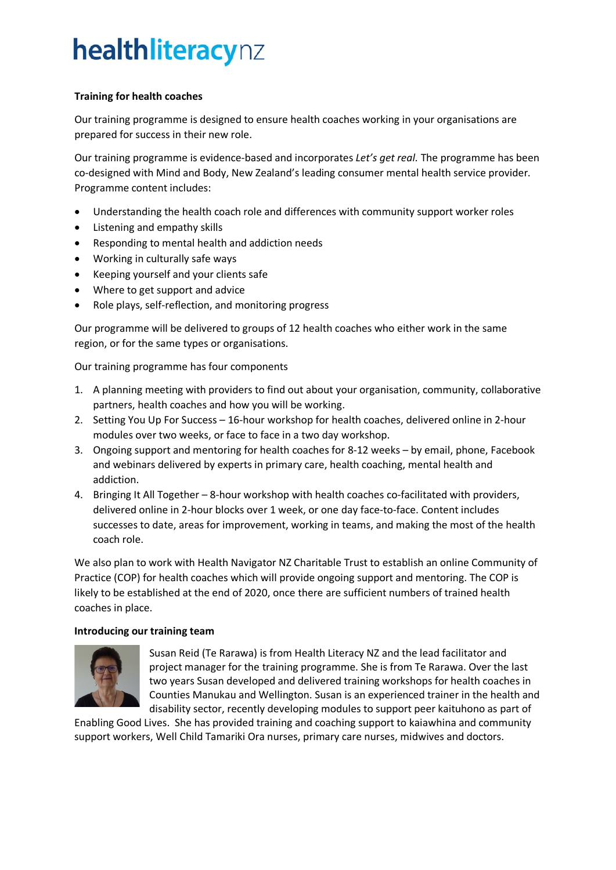## healthliteracynz

## **Training for health coaches**

Our training programme is designed to ensure health coaches working in your organisations are prepared for success in their new role.

Our training programme is evidence-based and incorporates *Let's get real.* The programme has been co-designed with Mind and Body, New Zealand's leading consumer mental health service provider. Programme content includes:

- Understanding the health coach role and differences with community support worker roles
- Listening and empathy skills
- Responding to mental health and addiction needs
- Working in culturally safe ways
- Keeping yourself and your clients safe
- Where to get support and advice
- Role plays, self-reflection, and monitoring progress

Our programme will be delivered to groups of 12 health coaches who either work in the same region, or for the same types or organisations.

Our training programme has four components

- 1. A planning meeting with providers to find out about your organisation, community, collaborative partners, health coaches and how you will be working.
- 2. Setting You Up For Success 16-hour workshop for health coaches, delivered online in 2-hour modules over two weeks, or face to face in a two day workshop.
- 3. Ongoing support and mentoring for health coaches for 8-12 weeks by email, phone, Facebook and webinars delivered by experts in primary care, health coaching, mental health and addiction.
- 4. Bringing It All Together 8-hour workshop with health coaches co-facilitated with providers, delivered online in 2-hour blocks over 1 week, or one day face-to-face. Content includes successes to date, areas for improvement, working in teams, and making the most of the health coach role.

We also plan to work with Health Navigator NZ Charitable Trust to establish an online Community of Practice (COP) for health coaches which will provide ongoing support and mentoring. The COP is likely to be established at the end of 2020, once there are sufficient numbers of trained health coaches in place.

## **Introducing our training team**



Susan Reid (Te Rarawa) is from Health Literacy NZ and the lead facilitator and project manager for the training programme. She is from Te Rarawa. Over the last two years Susan developed and delivered training workshops for health coaches in Counties Manukau and Wellington. Susan is an experienced trainer in the health and disability sector, recently developing modules to support peer kaituhono as part of

Enabling Good Lives. She has provided training and coaching support to kaiawhina and community support workers, Well Child Tamariki Ora nurses, primary care nurses, midwives and doctors.